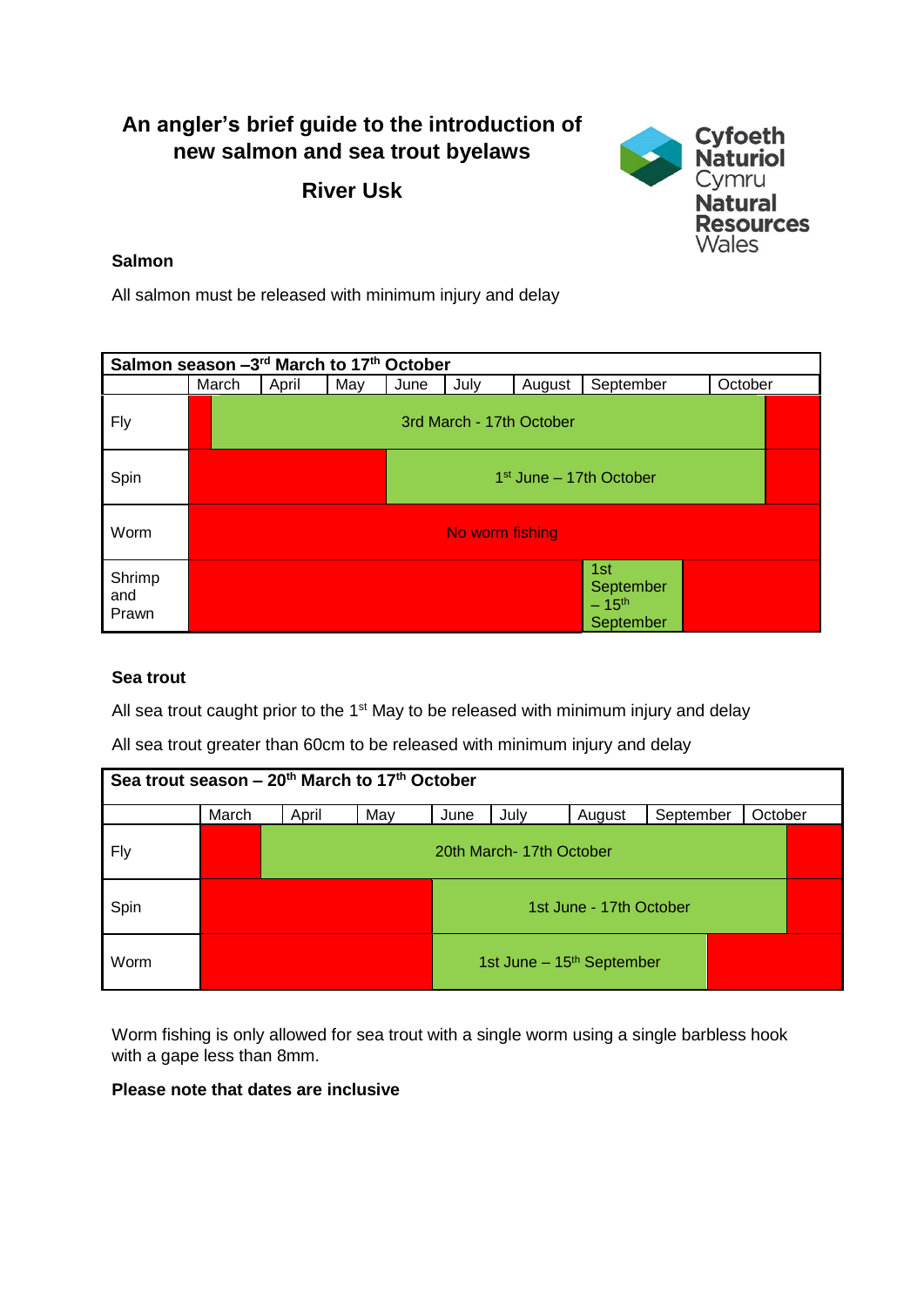# **An angler's brief guide to the introduction of new salmon and sea trout byelaws**

**River Usk**



## **Salmon**

All salmon must be released with minimum injury and delay

| Salmon season -3rd March to 17th October |                 |                           |     |      |      |        |                                             |         |  |  |  |
|------------------------------------------|-----------------|---------------------------|-----|------|------|--------|---------------------------------------------|---------|--|--|--|
|                                          | March           | April                     | May | June | July | August | September                                   | October |  |  |  |
| Fly                                      |                 | 3rd March - 17th October  |     |      |      |        |                                             |         |  |  |  |
| Spin                                     |                 | $1st$ June – 17th October |     |      |      |        |                                             |         |  |  |  |
| Worm                                     | No worm fishing |                           |     |      |      |        |                                             |         |  |  |  |
| Shrimp<br>and<br>Prawn                   |                 |                           |     |      |      |        | 1st<br>September<br>$-15^{th}$<br>September |         |  |  |  |

### **Sea trout**

All sea trout caught prior to the 1<sup>st</sup> May to be released with minimum injury and delay

All sea trout greater than 60cm to be released with minimum injury and delay

| Sea trout season – 20 <sup>th</sup> March to 17 <sup>th</sup> October |       |                          |     |                         |                                       |        |           |         |  |  |  |
|-----------------------------------------------------------------------|-------|--------------------------|-----|-------------------------|---------------------------------------|--------|-----------|---------|--|--|--|
|                                                                       | March | April                    | May | June                    | July                                  | August | September | October |  |  |  |
| <b>Fly</b>                                                            |       | 20th March- 17th October |     |                         |                                       |        |           |         |  |  |  |
| Spin                                                                  |       |                          |     | 1st June - 17th October |                                       |        |           |         |  |  |  |
| Worm                                                                  |       |                          |     |                         | 1st June - 15 <sup>th</sup> September |        |           |         |  |  |  |

Worm fishing is only allowed for sea trout with a single worm using a single barbless hook with a gape less than 8mm.

### **Please note that dates are inclusive**